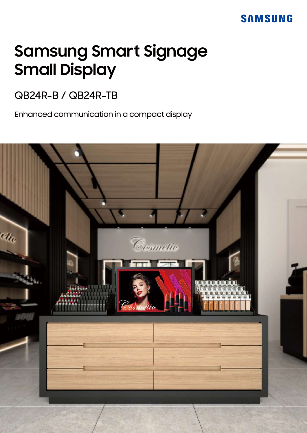# **Samsung Smart Signage Small Display**

# QB24R-B / QB24R-TB

Enhanced communication in a compact display

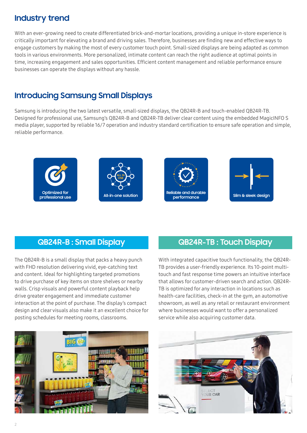# **Industry trend**

With an ever-growing need to create differentiated brick-and-mortar locations, providing a unique in-store experience is critically important for elevating a brand and driving sales. Therefore, businesses are finding new and effective ways to engage customers by making the most of every customer touch point. Small-sized displays are being adapted as common tools in various environments. More personalized, intimate content can reach the right audience at optimal points in time, increasing engagement and sales opportunities. Efficient content management and reliable performance ensure businesses can operate the displays without any hassle.

# **Introducing Samsung Small Displays**

Samsung is introducing the two latest versatile, small-sized displays, the QB24R-B and touch-enabled QB24R-TB. Designed for professional use, Samsung's QB24R-B and QB24R-TB deliver clear content using the embedded MagicINFO S media player, supported by reliable 16/7 operation and industry standard certification to ensure safe operation and simple, reliable performance.









The QB24R-B is a small display that packs a heavy punch with FHD resolution delivering vivid, eye-catching text and content. Ideal for highlighting targeted promotions to drive purchase of key items on store shelves or nearby walls. Crisp visuals and powerful content playback help drive greater engagement and immediate customer interaction at the point of purchase. The display's compact design and clear visuals also make it an excellent choice for posting schedules for meeting rooms, classrooms.

### **QB24R-B : Small Display QB24R-TB : Touch Display**

With integrated capacitive touch functionality, the QB24R-TB provides a user-friendly experience. Its 10-point multitouch and fast response time powers an intuitive interface that allows for customer-driven search and action. QB24R-TB is optimized for any interaction in locations such as health-care facilities, check-in at the gym, an automotive showroom, as well as any retail or restaurant environment where businesses would want to offer a personalized service while also acquiring customer data.



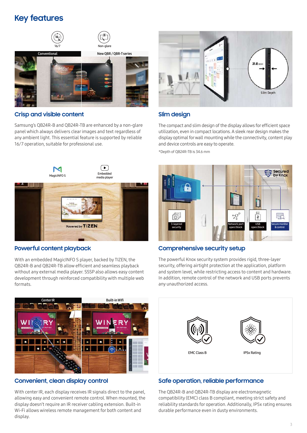# **Key features**



#### **Crisp and visible content**

Samsung's QB24R-B and QB24R-TB are enhanced by a non-glare panel which always delivers clear images and text regardless of any ambient light. This essential feature is supported by reliable 16/7 operation, suitable for professional use.



#### **Powerful content playback**

With an embedded MagicINFO S player, backed by TIZEN, the QB24R-B and QB24R-TB allow efficient and seamless playback without any external media player. SSSP also allows easy content development through reinforced compatibility with multiple web formats.



#### **Slim design**

The compact and slim design of the display allows for efficient space utilization, even in compact locations. A sleek rear design makes the display optimal for wall mounting while the connectivity, content play and device controls are easy to operate.

\*Depth of QB24R-TB is 34.6 mm



#### **Comprehensive security setup**

The powerful Knox security system provides rigid, three-layer security, offering airtight protection at the application, platform and system level, while restricting access to content and hardware. In addition, remote control of the network and USB ports prevents any unauthorized access.



#### **Convenient, clean display control**

With center IR, each display receives IR signals direct to the panel, allowing easy and convenient remote control. When mounted, the display doesn't require an IR receiver cabling extension. Built-in Wi-Fi allows wireless remote management for both content and display.

# EMC Class B IP5x Rating

#### **Safe operation, reliable performance**

The QB24R-B and QB24R-TB display are electromagnetic compatibility (EMC) class B compliant, meeting strict safety and reliability standards for operation. Additionally, IP5x rating ensures durable performance even in dusty environments.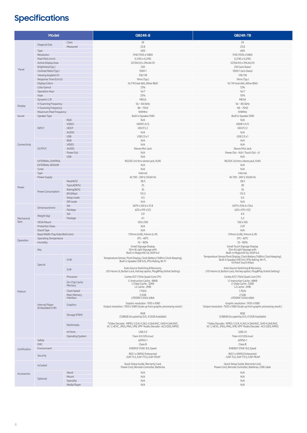# **Specifications**

| Model              |                                              |                             | <b>QB24R-B</b>                                                                | QB24R-TB                                                                                 |
|--------------------|----------------------------------------------|-----------------------------|-------------------------------------------------------------------------------|------------------------------------------------------------------------------------------|
|                    |                                              | Class                       | 24                                                                            | 24                                                                                       |
| Panel              | Diagonal Size                                | Measured                    | 23.8                                                                          | 23.8                                                                                     |
|                    | Type                                         |                             | ADS                                                                           | ADS                                                                                      |
|                    | Resolution<br>Pixel Pitch (mm)               |                             | FHD (1920 x 1080)                                                             | FHD (1920 x 1080)                                                                        |
|                    | Active Display Area                          |                             | 0.2745 x 0.2745<br>527.04 (H) x 296.46 (V)                                    | $0.2745 \times 0.2745$<br>527.04 (H) x 296.46 (V)                                        |
|                    | Brightness(Typ.)                             |                             | 250                                                                           | 250 (w/o Glass)                                                                          |
|                    | Contrast Ratio (Typ.)                        |                             | 1000:1                                                                        | 1000:1 (w/o Glass)                                                                       |
|                    | Viewing Angle(H/V)                           |                             | 178/178                                                                       | 178/178                                                                                  |
|                    | Response Time (G to G)                       |                             | 14ms (Typ.)                                                                   | 14ms (Typ.)                                                                              |
|                    | Display Colors<br>Color Gamut                |                             | 16.7 M (real 6bit, dither 8bit)<br>72%                                        | 16.7 M (real 6bit, dither 8bit)<br>72%                                                   |
|                    | Operation Hour                               |                             | 16/7                                                                          | 16/7                                                                                     |
|                    | Haze                                         |                             | 25%                                                                           | 10%                                                                                      |
| Display            | Dynamic C/R                                  |                             | MEGA                                                                          | MEGA                                                                                     |
|                    | H-Scanning Frequency<br>V-Scanning Frequency |                             | $56 - 84.5$ kHz<br>$48 - 75$ HZ                                               | $56 - 84.5$ kHz<br>$48 - 75$ HZ                                                          |
|                    | Maximum Pixel Frequency                      |                             | 594MHz                                                                        | 594MHz                                                                                   |
| Sound              | Speaker Type                                 |                             | Built in Speaker (5W)                                                         | Built in Speaker (5W)                                                                    |
|                    |                                              | RGB                         | N/A                                                                           | N/A                                                                                      |
|                    | <b>INPUT</b>                                 | <b>VIDEO</b><br><b>HDCP</b> | HDMI1.4(1)<br>HDCP2.2                                                         | HDMI1.4 (1)<br>HDCP <sub>2.2</sub>                                                       |
|                    |                                              | <b>AUDIO</b>                | N/A                                                                           | N/A                                                                                      |
|                    |                                              | <b>USB</b>                  | USB 2.0 x1                                                                    | USB 2.0 x1                                                                               |
|                    |                                              | RGB                         | N/A                                                                           | N/A                                                                                      |
| Connectivity       |                                              | <b>VIDEO</b>                | N/A                                                                           | N/A                                                                                      |
|                    | OUTPUT                                       | <b>AUDIO</b><br>Power Out   | Stereo Mini Jack<br>N/A                                                       | Stereo Mini Jack<br>Power Out - N/A / Touch Out - x1                                     |
|                    |                                              | <b>USB</b>                  | N/A                                                                           | N/A                                                                                      |
|                    | EXTERNAL CONTROL                             |                             | RS232C (in) thru stereo jack, RJ45                                            | RS232C (in) thru stereo jack, RJ45                                                       |
|                    | <b>EXTERNAL SENSOR</b>                       |                             | N/A                                                                           | N/A                                                                                      |
|                    | Tuner                                        |                             | N/A<br>Internal                                                               | N/A<br>Internal                                                                          |
| Power              | Type<br>Power Supply                         |                             | AC100 - 240 V, 50/60 Hz                                                       | AC100 - 240 V, 50/60 Hz                                                                  |
|                    |                                              | Max[W/h]                    | 38.5                                                                          | 38.5                                                                                     |
|                    | Power Consumption                            | Typical[W/h]                | 25                                                                            | 28                                                                                       |
|                    |                                              | Rating[W/h]                 | 35                                                                            | 35                                                                                       |
|                    |                                              | BTU(Max)<br>Sleep mode      | 131.3<br>0.5                                                                  | 131.3<br>0.5                                                                             |
|                    |                                              | Off mode                    | N/A                                                                           | N/A                                                                                      |
| Mechanical<br>Spec | Dimension(mm)                                | Set                         | 547.9 x 334.4 x 31.8                                                          | 547.9 x 334.4 x 34.6                                                                     |
|                    |                                              | Package                     | 620 x 419 x 122                                                               | 620 x 419 x 122                                                                          |
|                    | Weight (kg)                                  | Set                         | 3.0<br>4.1                                                                    | 4.0<br>5.2                                                                               |
|                    | VESA Mount                                   | Package                     | 100 x 100                                                                     | 100 x 100                                                                                |
|                    | <b>Protection Glass</b>                      |                             | N/A                                                                           | 2.0T                                                                                     |
|                    | Stand Type                                   |                             | N/A                                                                           | N/A                                                                                      |
|                    | Bezel Width (Top/Side/Bot) (mm)              |                             | 17.9mm (U/B), 9.4mm (L/R)<br>0°C~40°C                                         | 17.9mm (U/B), 9.4mm (L/R)                                                                |
| Operation          | Operating Temperature<br>Humidity            |                             | $10 - 80%$                                                                    | 0°C~40°C<br>$10 - 80%$                                                                   |
|                    | Key                                          |                             | Small Signage Display                                                         | Small Touch Signage Display                                                              |
| Feature            |                                              |                             | Slim & Light Signage with<br>Built-in MagicInfo S6, SSSP 6.0                  | Slim & Light Signage with<br>Built-in MagicInfo S6, SSSP 6.0                             |
|                    |                                              |                             | Temperature Sensor, Pivot Display, Clock Battery (168hrs Clock Keeping),      | Temperature Sensor, Pivot Display, Clock Battery (168hrs Clock Keeping),                 |
|                    | Special                                      | H/W                         | Built in Speaker (5W1ch), IP5x Rating, Wi-Fi                                  | Built in Speaker (5W1ch), IP5x Rating, Wi-Fi,<br>10 Point Touch (Max)                    |
|                    |                                              |                             | Auto Source Switching & Recovery,                                             | Auto Source Switching & Recovery,                                                        |
|                    |                                              | S/W                         | LFD Home UI, Button Lock, Hot key option, Plug&Play (Initial Setting)         | LFD Home UI, Button Lock, Hot key option, Plug&Play (Initial Setting)                    |
|                    |                                              | Processor                   | Cortex A721.7GHz Quad-Core CPU                                                | Cortex A721.7GHz Quad-Core CPU                                                           |
|                    |                                              | On-Chip Cache               | L1 Instruction Cache: 48KB<br>L1 Data Cache: 32KB                             | L1 Instruction Cache: 48KB                                                               |
|                    |                                              | Memory                      | L2 Cache: 2MB                                                                 | L1 Data Cache: 32KB<br>L2 Cache: 2MB                                                     |
|                    |                                              | Clock Speed                 | 1.7GHz                                                                        | 1.7GHz                                                                                   |
|                    |                                              | Main Memory<br>Interface    | 2.5GB<br>LPDDR41.5GHz 64bit                                                   | 2.5GB<br>LPDDR41.5GHz 64bit                                                              |
|                    | Internal Player<br>(Embedded H/W)            |                             | Graphic resolution: 1920 x 1080                                               | Graphic resolution: 1920 x 1080                                                          |
|                    |                                              | Graphics                    | Output resolution : 1920 x 1080 (Scale up from graphic processing result.)    | Output resolution : 1920 x 1080 (Scale up from graphic processing result.)               |
|                    |                                              |                             | 8GB                                                                           | 8GB                                                                                      |
|                    |                                              | Storage (FDM)               | (3.88GB Occupied by O/S, 4.12GB Available)                                    | (3.88GB Occupied by O/S, 4.12GB Available)                                               |
|                    |                                              | Multimedia                  | *Video Decoder: MPEG-1/2/4, H.263, H.264/AVC, UHD H.264/AVC,                  | *Video Decoder: MPEG-1/2/4, H.263, H.264/AVC, UHD H.264/AVC,                             |
|                    |                                              |                             | VC-1, HEVC, JPEG, PNG, VP8, VP9 *Audio Decoder: AC3 (DD), MPEG                | VC-1, HEVC, JPEG, PNG, VP8, VP9 *Audio Decoder: AC3 (DD), MPEG                           |
|                    |                                              | IO Ports                    | <b>USB 2.0</b>                                                                | <b>USB 2.0</b>                                                                           |
| Certification      | Operating System<br>Safety                   |                             | Tizen 4.0 (VDLinux)<br>60950-1                                                | Tizen 4.0 (VDLinux)<br>60950-1                                                           |
|                    | <b>EMC</b>                                   |                             | Class B                                                                       | Class B                                                                                  |
|                    | Environment                                  |                             | ENERGY STAR 8.0, Epeat                                                        | ENERGY STAR 8.0, Epeat                                                                   |
|                    | Security                                     |                             | 802.1 x (WPA2 Enterprise)<br>: EAP-TLS, EAP-TTLS, EAP-PEAP                    | 802.1 x (WPA2 Enterprise)<br>: EAP-TLS, EAP-TTLS, EAP-PEAP                               |
|                    |                                              |                             |                                                                               |                                                                                          |
| Accessories        | Included                                     |                             | Quick Setup Guide, Warranty Card,<br>Power Cord, Remote Controller, Batteries | Quick Setup Guide, Warranty Card,<br>Power Cord, Remote Controller, Batteries, USB Cable |
|                    |                                              |                             |                                                                               |                                                                                          |
|                    | Optional                                     | Stand<br>Mount              | N/A<br>N/A                                                                    | N/A<br>N/A                                                                               |
|                    |                                              | Specialty                   | N/A                                                                           | N/A                                                                                      |
|                    |                                              | Media Player                | N/A                                                                           | N/A                                                                                      |